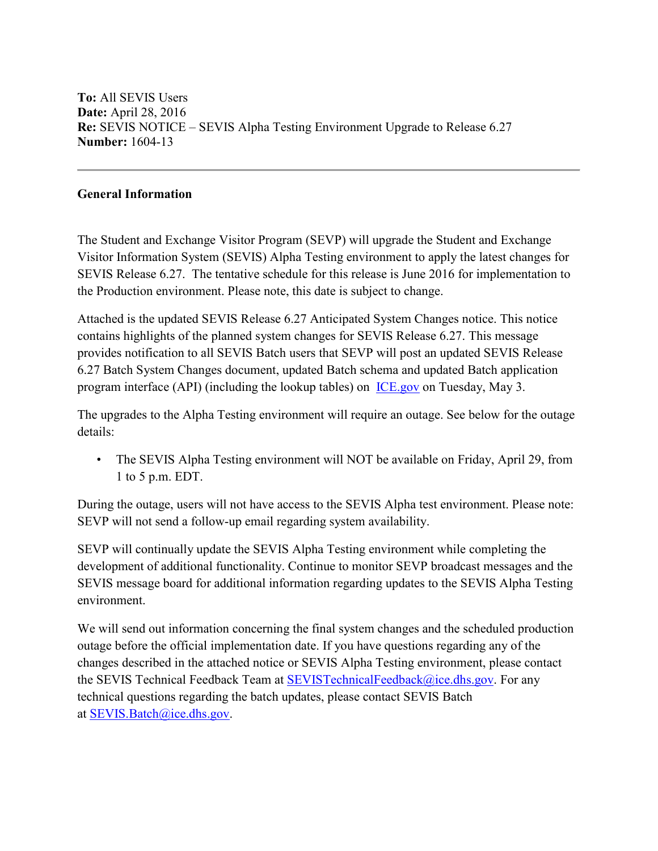**To:** All SEVIS Users **Date:** April 28, 2016 **Re:** SEVIS NOTICE – SEVIS Alpha Testing Environment Upgrade to Release 6.27 **Number:** 1604-13

## **General Information**

The Student and Exchange Visitor Program (SEVP) will upgrade the Student and Exchange Visitor Information System (SEVIS) Alpha Testing environment to apply the latest changes for SEVIS Release 6.27. The tentative schedule for this release is June 2016 for implementation to the Production environment. Please note, this date is subject to change.

Attached is the updated SEVIS Release 6.27 Anticipated System Changes notice. This notice contains highlights of the planned system changes for SEVIS Release 6.27. This message provides notification to all SEVIS Batch users that SEVP will post an updated SEVIS Release 6.27 Batch System Changes document, updated Batch schema and updated Batch application program interface (API) (including the lookup tables) on [ICE.gov](https://www.ice.gov/) on Tuesday, May 3.

The upgrades to the Alpha Testing environment will require an outage. See below for the outage details:

• The SEVIS Alpha Testing environment will NOT be available on Friday, April 29, from 1 to 5 p.m. EDT.

During the outage, users will not have access to the SEVIS Alpha test environment. Please note: SEVP will not send a follow-up email regarding system availability.

SEVP will continually update the SEVIS Alpha Testing environment while completing the development of additional functionality. Continue to monitor SEVP broadcast messages and the SEVIS message board for additional information regarding updates to the SEVIS Alpha Testing environment.

We will send out information concerning the final system changes and the scheduled production outage before the official implementation date. If you have questions regarding any of the changes described in the attached notice or SEVIS Alpha Testing environment, please contact the SEVIS Technical Feedback Team at [SEVISTechnicalFeedback@ice.dhs.gov.](mailto:SEVISTechnicalFeedback@ice.dhs.gov) For any technical questions regarding the batch updates, please contact SEVIS Batch at [SEVIS.Batch@ice.dhs.gov.](mailto:SEVIS.Batch@ice.dhs.gov)